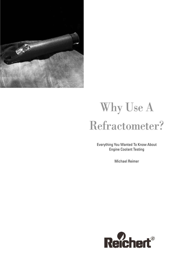

# Why Use A Refractometer?

Everything You Wanted To Know About Engine Coolant Testing

Michael Reimer

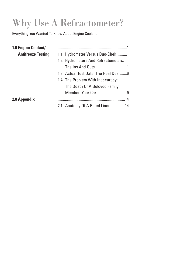## Why Use A Refractometer?

Everything You Wanted To Know About Engine Coolant

| 1.1 Hydrometer Versus Duo-Chek1      |
|--------------------------------------|
| 1.2 Hydrometers And Refractometers:  |
|                                      |
| 1.3 Actual Test Date: The Real Deal6 |
| 1.4 The Problem With Inaccuracy:     |
| The Death Of A Beloved Family        |
|                                      |
|                                      |
| 2.1 Anatomy Of A Pitted Liner14      |
|                                      |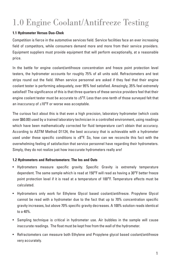## 1.0 Engine Coolant/Antifreeze Testing

#### **1.1 Hydrometer Versus Duo-Chek**

Competition is fierce in the automotive services field. Service facilities face an ever increasing field of competitors, while consumers demand more and more from their service providers. Equipment suppliers must provide equipment that will perform exceptionally, at a reasonable price.

In the battle for engine coolant/antifreeze concentration and freeze point protection level testers, the hydrometer accounts for roughly 75% of all units sold. Refractometers and test strips round out the field. When service personnel are asked if they feel that their engine coolant tester is performing adequately, over 95% feel satisfied. Amazingly, 35% feel extremely satisfied! The significance of this is that three quarters of these service providers feel that their engine coolant tester must be accurate to  $\pm 5^{\circ}$ F. Less than one-tenth of those surveyed felt that an inaccuracy of  $\pm 10^{\circ}$ F or worse was acceptable.

The curious fact about this is that even a high precision, laboratory hydrometer (which costs over \$60.00) used by a trained laboratory technician in a controlled environment, using readings which have been mathematically corrected for fluid temperature can't obtain that accuracy. According to ASTM Method D1124, the best accuracy that is achievable with a hydrometer used under these specific conditions is  $\pm 8^{\circ}$ F. So, how can we reconcile this fact with the overwhelming feeling of satisfaction that service personnel have regarding their hydrometers. Simply, they do not realize just how inaccurate hydrometers really are!

#### **1.2 Hydrometers and Refractometers: The Ins and Outs**

- Hydrometers measure specific gravity. Specific Gravity is extremely temperature dependent. The same sample which is read at 150°F will read as having a 30°F better freeze point protection level if it is read at a temperature of 100°F. Temperature effects must be calculated.
- Hydrometers only work for Ethylene Glycol based coolant/antifreeze. Propylene Glycol cannot be read with a hydrometer due to the fact that up to 70% concentration specific gravity increases, but above 70% specific gravity decreases. A 100% solution reads identical to a 40%.
- Sampling technique is critical in hydrometer use. Air bubbles in the sample will cause inaccurate readings. The float must be kept free from the wall of the hydrometer.
- Refractometers can measure both Ethylene and Propylene glycol based coolant/antifreeze very accurately.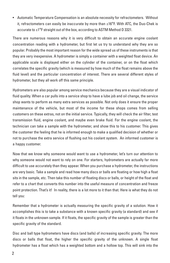• Automatic Temperature Compensation is an absolute necessity for refractometers. Without it, refractometers can easily be inaccurate by more than ±16°F. With ATC, the Duo-Chek is accurate to ±1°F straight out of the box, according to ASTM Method D 3321.

There are numerous reasons why it is very difficult to obtain an accurate engine coolant concentration reading with a hydrometer, but first let us try to understand why they are so popular. Probably the most important reason for the wide spread us of these instruments is that they are very inexpensive. A hydrometer is simply a container with a weighted float device. An applicable scale is displayed either on the cylinder of the container, or on the float which correlates the specific gravity (which is measured by how much of the float remains above the fluid level) and the particular concentration of interest. There are several different styles of hydrometer, but they all work off this same principle.

Hydrometers are also popular among service mechanics because they are a visual indicator of fluid quality. When a car pulls into a service shop to have a lube job and oil change, the service shop wants to perform as many extra services as possible. Not only does it ensure the proper maintenance of the vehicle, but most of the income for these shops comes from selling customers on these extras, not on the initial service. Typically, they will check the air filter, test transmission fluid, engine coolant, and maybe even brake fluid. For the engine coolant, the technician can take a sample with the hydrometer, and show this to his customer. This gives the customer the feeling that he is informed enough to make a qualified decision of whether or not to purchase the extra service of flushing out his coolant system. An informed customer is a happy customer.

Now that we know why someone would want to use a hydrometer, let's turn our attention to why someone would not want to rely on one. For starters, hydrometers are actually far more difficult to use accurately than they appear. When you purchase a hydrometer, the instructions are very basic. Take a sample and read how many discs or balls are floating or how high a float sits in the sample, etc. Then take this number of floating discs or balls, or height of the float and refer to a chart that converts this number into the useful measure of concentration and freeze point protection. That's it! In reality, there is a lot more to it than that. Here is what they do not tell you:

Remember that a hydrometer is actually measuring the specific gravity of a solution. How it accomplishes this is to take a substance with a known specific gravity (a standard) and see if it floats in the unknown sample. If it floats, the specific gravity of the sample is greater than the specific gravity of the standard.

Disc and ball type hydrometers have discs (and balls) of increasing specific gravity. The more discs or balls that float, the higher the specific gravity of the unknown. A single float hydrometer has a float which has a weighted bottom and a hollow top. This will sink into the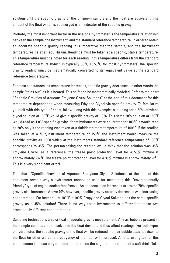solution until the specific gravity of the unknown sample and the float are equivalent. The amount of the float which is submerged is an indicator of the specific gravity.

Probably the most important factor in the use of a hydrometer is the temperature relationship between the sample, the instrument, and the standard reference temperature. In order to obtain an accurate specific gravity reading it is imperative that the sample, and the instrument temperatures be at an equilibrium. Readings must be taken at a specific, stable temperature. This temperature must be noted for each reading. If this temperature differs from the standard reference temperature (which is typically 60°F, 15.56°C for most hydrometers) the specific gravity reading must be mathematically converted to its' equivalent value at the standard reference temperature.

For most substances, as temperature increases, specific gravity decreases. In other words the sample "thins out" as it is heated. This shift can be mathematically modeled. Refer to the chart "Specific Gravities of Aqueous Ethylene Glycol Solutions" at the end of this document for this temperature dependence when measuring Ethylene Glycol via specific gravity. To familiarize yourself with this type of chart, follow along with this example: A reading for a 50% ethylene glycol solution at 100°F would give a specific gravity of 1.056. This same 50% solution at 150°F would read as 1.038 specific gravity. If that hydrometer were calibrated for 100°F, it would read as 50% only if the reading was taken at a fluid/instrument temperature of 100°F. If the reading was taken at a fluid/instrument temperature of 150°F, the instrument would measure the specific gravity as 1.038 which at the instruments standard reference temperature of 100°F corresponds to 35%. The person taking the reading would think that the solution was 35% Ethylene Glycol. As a reference, the freeze point protection level for a 50% mixture is approximately -32°F. The freeze point protection level for a 35% mixture is approximately -2°F. This is a very significant error!

The chart "Specific Gravities of Aqueous Propylene Glycol Solutions" at the end of this document reveals why a hydrometer cannot be used for measuring this "environmentally friendly" type of engine coolant/antifreeze. As concentration increases to around 70%, specific gravity also increases. Above 70% however, specific gravity actually decreases with increasing concentration. For instance, at 100°F, a 100% Propylene Glycol Solution has the same specific gravity as a 45% solution! There is no way for a hydrometer to differentiate these two dramatically different concentrations.

Sampling technique is also critical in specific gravity measurement. Any air bubbles present in the sample can attach themselves to the float device and thus affect readings. For both types of hydrometer, the specific gravity of the float will be reduced if an air bubble attaches itself to the float (in other words, the buoyancy of the float will increase). An interesting test of this phenomenon is to use a hydrometer to determine the sugar concentration of a soft drink. Take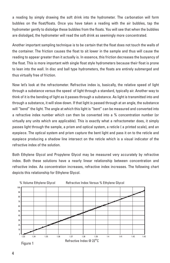a reading by simply drawing the soft drink into the hydrometer. The carbonation will form bubbles on the float/floats. Once you have taken a reading with the air bubbles, tap the hydrometer gently to dislodge these bubbles from the floats. You will see that when the bubbles are dislodged, the hydrometer will read the soft drink as seemingly more concentrated.

Another important sampling technique is to be certain that the float does not touch the walls of the container. The friction causes the float to sit lower in the sample and thus will cause the reading to appear greater than it actually is. In essence, this friction decreases the buoyancy of the float. This is more important with single float style hydrometers because their float is prone to lean into the wall. In disc and ball type hydrometers, the floats are entirely submerged and thus virtually free of friction.

Now let's look at the refractometer. Refractive index is, basically, the relative speed of light through a substance versus the speed of light through a standard, typically air. Another way to think of it is the bending of light as it passes through a substance. As light is transmitted into and through a substance, it will slow down. If that light is passed through at an angle, the substance will "bend" the light. The angle at which this light is "bent" can be measured and converted into a refractive index number which can then be converted into a % concentration number (or virtually any units which are applicable). This is exactly what a refractometer does, it simply passes light through the sample, a prism and optical system, a reticle ( a printed scale), and an eyepiece. The optical system and prism capture the bent light and pass it on to the reticle and eyepiece producing a shadow line intersect on the reticle which is a visual indicator of the refractive index of the solution.

Both Ethylene Glycol and Propylene Glycol may be measured very accurately by refractive index. Both these solutions have a nearly linear relationship between concentration and refractive index. As concentration increases, refractive index increases. The following chart depicts this relationship for Ethylene Glycol.



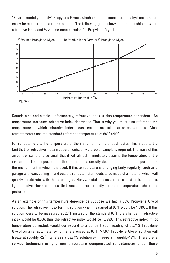"Environmentally friendly" Propylene Glycol, which cannot be measured on a hydrometer, can easily be measured on a refractometer. The following graph shows the relationship between refractive index and % volume concentration for Propylene Glycol.



Sounds nice and simple. Unfortunately, refractive index is also temperature dependent. As temperature increases refractive index decreases. That is why you must also reference the temperature at which refractive index measurements are taken at or converted to. Most refractometers use the standard reference temperature of 68°F (20°C).

For refractometers, the temperature of the instrument is the critical factor. This is due to the fact that for refractive index measurements, only a drop of sample is required. The mass of this amount of sample is so small that it will almost immediately assume the temperature of the instrument. The temperature of the instrument is directly dependent upon the temperature of the environment in which it is used. If this temperature is changing fairly regularly, such as a garage with cars pulling in and out, the refractometer needs to be made of a material which will quickly equilibrate with these changes. Heavy, metal bodies act as a heat sink, therefore, lighter, polycarbonate bodies that respond more rapidly to these temperature shifts are preferred.

As an example of this temperature dependence suppose we had a 50% Propylene Glycol solution. The refractive index for this solution when measured at 68°F would be 1.38908. If this solution were to be measured at 20°F instead of the standard 68°F, the change in refractive index would be 0.006, thus the refractive index would be 1.39508. This refractive index, if not temperature corrected, would correspond to a concentration reading of 55.74% Propylene Glycol on a refractometer which is referenced at 68°F. A 50% Propylene Glycol solution will freeze at roughly -29°F, whereas a 55.74% solution will freeze at roughly-45°F. Therefore, a service technician using a non-temperature compensated refractometer under these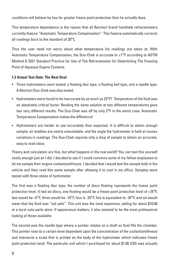conditions will believe he has far greater freeze point protection than he actually does.

This temperature dependence is the reason that all Reichert brand handheld refractometers currently feature "Automatic Temperature Compensation". This feature automatically corrects all readings back to the standard of 20°C.

Thus the user need not worry about what temperature his readings are taken at. With Automatic Temperature Compensation, the Duo-Chek is accurate to  $\pm 1^{\circ}F$  according to ASTM Method D 3321 Standard Practice for Use of The Refractometer for Determining The Freezing Point of Aqueous Engine Coolants.

#### **1.3 Actual Test Date: The Real Deal**

- Three hydrometers were tested, a floating disc type, a floating ball type, and a needle type. A Reichert Duo-Chek was also tested.
- Hydrometers were found to be inaccurate by as much as 23°F! Temperature of the fluid was an absolutely critical factor. Reading the same solution at two different temperatures gave two very different results. The Duo-Chek was off by only 2°F in the worst case. Automatic Temperature Compensation makes the difference!
- Hydrometers are harder to use accurately than expected. It is difficult to obtain enough sample, air bubbles are nearly unavoidable, and the angle the hydrometer is held at causes variations in readings. The Duo-Chek requires only a drop of sample to obtain an accurate, easy to read value.

Theory and calculation are fine, but what happens in the real world? You can test this yourself easily enough just as I did. I decided to see if I could convince some of my fellow employees to let me sample their engine coolant/antifreeze. I decided that I would test the sample both in the vehicle and then read this same sample after allowing it to cool in my office. Samples were tested with three styles of hydrometer.

The first was a floating disc type, the number of discs floating represents the freeze point protection level. It had six discs, one floating would be a freeze point protection level of +25°F, two would be +5°F, three would be -10°F, four is -25°F, five is equivalent to -34°F, and six would mean that the fluid was "not safe". This unit was the most expensive, selling for about \$10.00 at a local auto parts store. If appearance matters, it also seemed to be the most professional looking of those available.

The second was the needle type where a pointer rotates on a shaft as fluid fills the chamber. This pointer rises to a certain level dependent upon the concentration of the coolant/antifreeze and intersects a scale that is printed on the body of the hydrometer which indicates freeze point protection level. The particular unit which I purchased for about \$7.00 USD was actually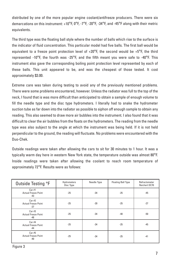distributed by one of the more popular engine coolant/antifreeze producers. There were six demarcations on this instrument:  $+10^{\circ}$ F, 0 $^{\circ}$ F, -7 $^{\circ}$ F, -20 $^{\circ}$ F, -34 $^{\circ}$ F, and -45 $^{\circ}$ F along with their metric equivalents.

The third type was the floating ball style where the number of balls which rise to the surface is the indicator of fluid concentration. This particular model had five balls. The first ball would be equivalent to a freeze point protection level of  $+20^{\circ}$ F, the second would be  $+5^{\circ}$ F, the third represented -10 $^{\circ}$ F, the fourth was -25 $^{\circ}$ F, and the fifth meant you were safe to -40 $^{\circ}$ F. This instrument also gave the corresponding boiling point protection level represented by each of these balls. This unit appeared to be, and was the cheapest of those tested. It cost approximately \$3.00.

Extreme care was taken during testing to avoid any of the previously mentioned problems. There were some problems encountered, however. Unless the radiator was full to the top of the neck, I found that is was more difficult than anticipated to obtain a sample of enough volume to fill the needle type and the disc type hydrometers. I literally had to snake the hydrometer suction tube as far down into the radiator as possible to siphon off enough sample to obtain any reading. This also seemed to draw more air bubbles into the instrument. I also found that it was difficult to clear the air bubbles from the floats on the hydrometers. The reading from the needle type was also subject to the angle at which the instrument was being held. If it is not held perpendicular to the ground, the reading will fluctuate. No problems were encountered with the Duo-Chek.

Outside readings were taken after allowing the cars to sit for 30 minutes to 1 hour. It was a typically warm day here in western New York state, the temperature outside was almost 80°F. Inside readings were taken after allowing the coolant to reach room temperature of approximately 72°F. Results were as follows:

| Outside Testing °F                           | Hydrometers<br>Disc Type | Needle Type | <b>Floating Ball Type</b> | Refractometer<br><b>Reichert DC70</b> |
|----------------------------------------------|--------------------------|-------------|---------------------------|---------------------------------------|
| Car#1<br><b>Actual Freeze Point</b><br>$-43$ | $-25$                    | $-34$       | $-25$                     | $-45$                                 |
| Car#2<br><b>Actual Freeze Point</b><br>$-27$ | $-25$                    | $-20$       | $-25$                     | $-27$                                 |
| Car#3<br><b>Actual Freeze Point</b><br>$-48$ | $-25$                    | $-34$       | $-40$                     | $-50$                                 |
| Car#4<br><b>Actual Freeze Point</b><br>$-44$ | $-25$                    | $-34$       | $-25$                     | $-45$                                 |
| Car#5<br><b>Actual Freeze Point</b><br>-40   | $-25$                    | $-34$       | $-25$                     | $-41$                                 |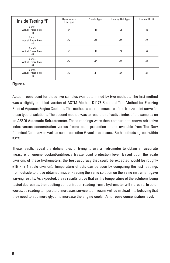| Inside Testing °F                            | Hydrometers<br>Disc Type | Needle Type | <b>Floating Ball Type</b> | Reichert DC70 |
|----------------------------------------------|--------------------------|-------------|---------------------------|---------------|
| Car#1<br><b>Actual Freeze Point</b><br>-43   | $-34$                    | $-45$       | $-25$                     | $-45$         |
| Car#2<br><b>Actual Freeze Point</b><br>$-27$ | $-34$                    | $-34$       | $-25$                     | $-27$         |
| Car#3<br><b>Actual Freeze Point</b><br>-48   | $-34$                    | $-45$       | $-40$                     | $-50$         |
| Car#4<br><b>Actual Freeze Point</b><br>$-44$ | $-34$                    | $-45$       | $-25$                     | $-45$         |
| Car#5<br><b>Actual Freeze Point</b><br>-40   | $-34$                    | $-45$       | $-25$                     | $-41$         |

Figure 4

Actual freeze point for these five samples was determined by two methods. The first method was a slightly modified version of ASTM Method D1177 Standard Test Method for Freezing Point of Aqueous Engine Coolants. This method is a direct measure of the freeze point curve for these type of solutions. The second method was to read the refractive index of the samples on an AR600 Automatic Refractometer. These readings were then compared to known refractive index versus concentration versus freeze point protection charts available from The Dow Chemical Company as well as numerous other Glycol processors. Both methods agreed within  $±$ 2 $\degree$ F

These results reveal the deficiencies of trying to use a hydrometer to obtain an accurate measure of engine coolant/antifreeze freeze point protection level. Based upon the scale divisions of these hydrometers, the best accuracy that could be expected would be roughly  $\pm 15^{\circ}$ F (+ 1 scale division). Temperature effects can be seen by comparing the test readings from outside to those obtained inside. Reading the same solution on the same instrument gave varying results. As expected, these results prove that as the temperature of the solutions being tested decreases, the resulting concentration reading from a hydrometer will increase. In other words, as reading temperature increases service technicians will be mislead into believing that they need to add more glycol to increase the engine coolant/antifreeze concentration level.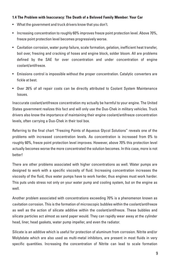#### **1.4 The Problem with Inaccuracy: The Death of a Beloved Family Member: Your Car**

- What the government and truck drivers know that you don't.
- Increasing concentration to roughly 60% improves freeze point protection level. Above 70%, freeze point protection level becomes progressively worse.
- Cavitation corrosion, water pump failure, scale formation, gelation, inefficient heat transfer, boil over, freezing and cracking of hoses and engine block, solder bloom. All are problems defined by the SAE for over concentration and under concentration of engine coolant/antifreeze.
- Emissions control is impossible without the proper concentration. Catalytic converters are fickle at best.
- Over 26% of all repair costs can be directly attributed to Coolant System Maintenance Issues.

Inaccurate coolant/antifreeze concentration my actually be harmful to your engine. The United States government realizes this fact and will only use the Duo-Chek in military vehicles. Truck drivers also know the importance of maintaining their engine coolant/antifreeze concentration levels, often carrying a Duo-Chek in their tool box.

Referring to the final chart "Freezing Points of Aqueous Glycol Solutions" reveals one of the problems with increased concentration levels. As concentration is increased from 0% to roughly 60%, freeze point protection level improves. However, above 70% this protection level actually becomes worse the more concentrated the solution becomes. In this case, more is not hotter!

There are other problems associated with higher concentrations as well. Water pumps are designed to work with a specific viscosity of fluid. Increasing concentration increases the viscosity of the fluid, thus water pumps have to work harder, thus engines must work harder. This puts undo stress not only on your water pump and cooling system, but on the engine as well.

Another problem associated with concentrations exceeding 70% is a phenomenon known as cavitation corrosion. This is the formation of microscopic bubbles within the coolant/antifreeze as well as the action of silicate additive within the coolant/antifreeze. These bubbles and silicate particles act almost as sand paper would. They can rapidly wear away at the cylinder head, liner, head gaskets, water pump impeller, and even the radiator.

Silicate is an additive which is useful for protection of aluminum from corrosion. Nitrite and/or Molybdate which are also used as multi-metal inhibitors, are present in most fluids in very specific quantities. Increasing the concentration of Nitrite can lead to scale formation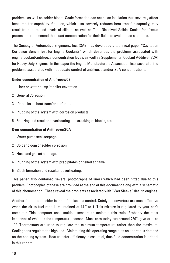problems as well as solder bloom. Scale formation can act as an insulation thus severely affect heat transfer capability. Gelation, which also severely reduces heat transfer capacity, may result from increased levels of silicate as well as Total Dissolved Solids. Coolant/antifreeze processors recommend the exact concentration for their fluids to avoid these situations.

The Society of Automotive Engineers, Inc. (SAE) has developed a technical paper "Cavitation Corrosion Bench Test for Engine Coolants" which describes the problems associated with engine coolant/antifreeze concentration levels as well as Supplemental Coolant Additive (SCA) for Heavy Duty Engines. In this paper the Engine Manufacturers Association lists several of the problems associated with inadequate control of antifreeze and/or SCA concentrations.

#### **Under concentration of Antifreeze/CS**

- 1. Liner or water pump impeller cavitation.
- 2. General Corrosion.
- 3. Deposits on heat transfer surfaces.
- 4. Plugging of the system with corrosion products.
- 5. Freezing and resultant overheating and cracking of blocks, etc.

#### **Over concentration of Antifreeze/SCA**

- 1. Water pump seal seepage.
- 2. Solder bloom or solder corrosion.
- 3. Hose and gasket seepage.
- 4. Plugging of the system with precipitates or gelled additive.
- 5. Slush formation and resultant overheating.

This paper also contained several photographs of liners which had been pitted due to this problem. Photocopies of these are provided at the end of this document along with a schematic of this phenomenon. These reveal the problems associated with "Wet Sleeve" design engines.

Another factor to consider is that of emissions control. Catalytic converters are most effective when the air to fuel ratio is maintained at 14.7 to 1. This mixture is regulated by your car's computer. This computer uses multiple sensors to maintain this ratio. Probably the most important of which is the temperature sensor. Most cars today run around 230°, give or take 10°. Thermostats are used to regulate the minimum temperature rather than the maximum. Cooling fans regulate the high end. Maintaining this operating range puts an enormous demand on the cooling system. Heat transfer efficiency is essential, thus fluid concentration is critical in this regard.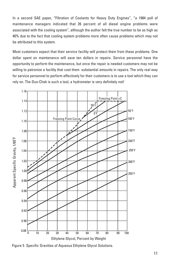In a second SAE paper, "Filtration of Coolants for Heavy Duty Engines", "a 1984 poll of maintenance managers indicated that 26 percent of all diesel engine problems were associated with the cooling system", although the author felt the true number to be as high as 40% due to the fact that cooling system problems more often cause problems which may not be attributed to this system.

Most customers expect that their service facility will protect them from these problems. One dollar spent on maintenance will save ten dollars in repairs. Service personnel have the opportunity to perform the maintenance, but once the repair is needed customers may not be willing to patronize a facility that cost them substantial amounts in repairs. The only real way for service personnel to perform effectively for their customers is to use a tool which they can rely on. The Duo-Chek is such a tool, a hydrometer is very definitely not!

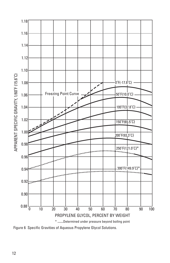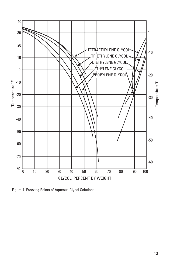

Figure 7 Freezing Points of Aqueous Glycol Solutions.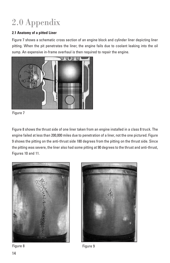### 2.0 Appendix

#### **2.1 Anatomy of a pitted Liner**

Figure 7 shows a schematic cross section of an engine block and cylinder liner depicting liner pitting. When the pit penetrates the liner, the engine fails due to coolant leaking into the oil sump. An expensive in-frame overhaul is then required to repair the engine.



Figure 7

Figure 8 shows the thrust side of one liner taken from an engine installed in a class 8 truck. The engine failed at less than 200,000 miles due to penetration of a liner, not the one pictured. Figure 9 shows the pitting on the anti-thrust side 180 degrees from the pitting on the thrust side. Since the pitting was severe, the liner also had some pitting at 90 degrees to the thrust and anti-thrust, Figures 10 and 11.





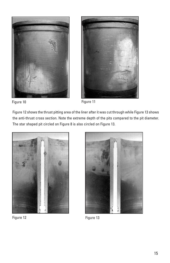



![](_page_16_Figure_2.jpeg)

Figure 10 Figure 11

Figure 12 shows the thrust pitting area of the liner after it was cut through while Figure 13 shows the anti-thrust cross section. Note the extreme depth of the pits compared to the pit diameter. The star shaped pit circled on Figure 8 is also circled on Figure 13.

![](_page_16_Picture_5.jpeg)

![](_page_16_Picture_6.jpeg)